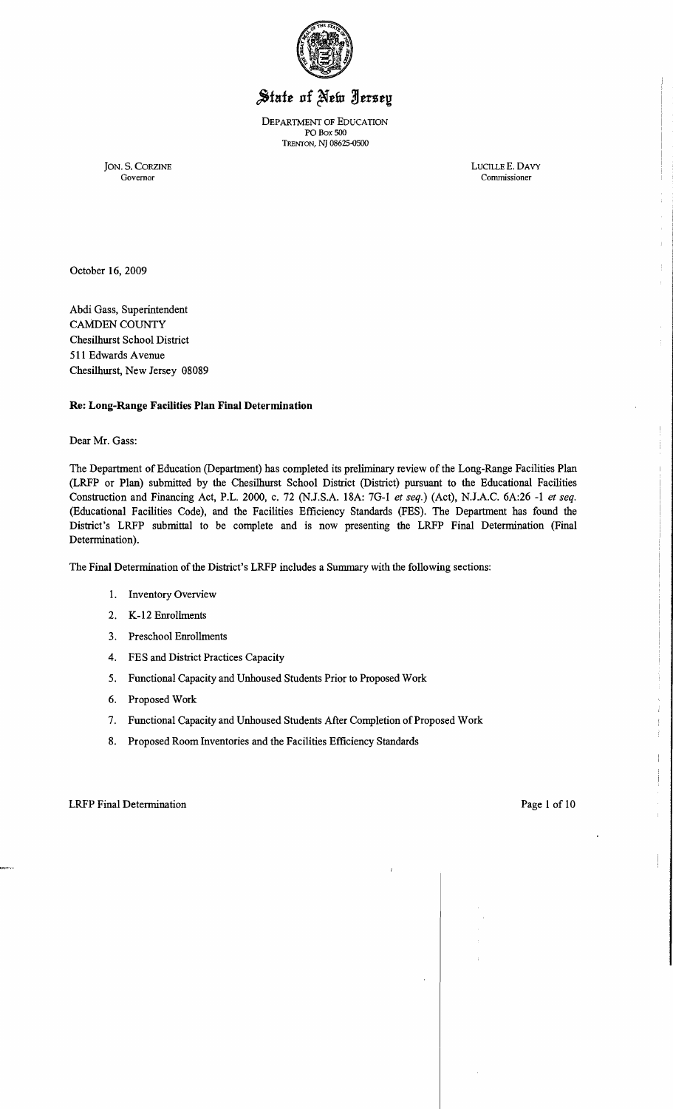

# State of New Jersey

DEPARTMENT OF EDUCATION PO Box 500 TRENTON, N] 08625-0500

JON. S. CORZINE LUCILLEE. DAVY Commissioner

d.

 $\frac{1}{2}$  $\overline{1}$ 

October 16, 2009

Abdi Gass, Superintendent CAMDEN COUNTY Chesilhurst School District 511 Edwards Avenue Chesilhurst, New Jersey 08089

## Re: Long-Range Facilities Plan Final Determination

Dear Mr. Gass:

The Department of Education (Department) has completed its preliminary review of the Long-Range Facilities Plan (LRFP or Plan) submitted by the Chesilhurst School District (District) pursuant to the Educational Facilities Construction and Financing Act, P.L. 2000, c. 72 (N.J.S.A. 18A: 7G-1 *et seq.)* (Act), N.J.A.C. 6A:26 -1 *et seq.*  (Educational Facilities Code), and the Facilities Efficiency Standards (FES). The Department has found the District's LRFP submittal to be complete and is now presenting the LRFP Final Determination (Final Determination).

The Final Determination of the District's LRFP includes a Summary with the following sections:

- 1. Inventory Overview
- 2. K-12 Emollments
- 3. Preschool Emollments
- 4. FES and District Practices Capacity
- 5. Functional Capacity and Unhoused Students Prior to Proposed Work
- 6. Proposed Work
- 7. Functional Capacity and Unhoused Students After Completion of Proposed Work
- 8. Proposed Room Inventories and the Facilities Efficiency Standards

LRFP Final Determination **Page 1** of 10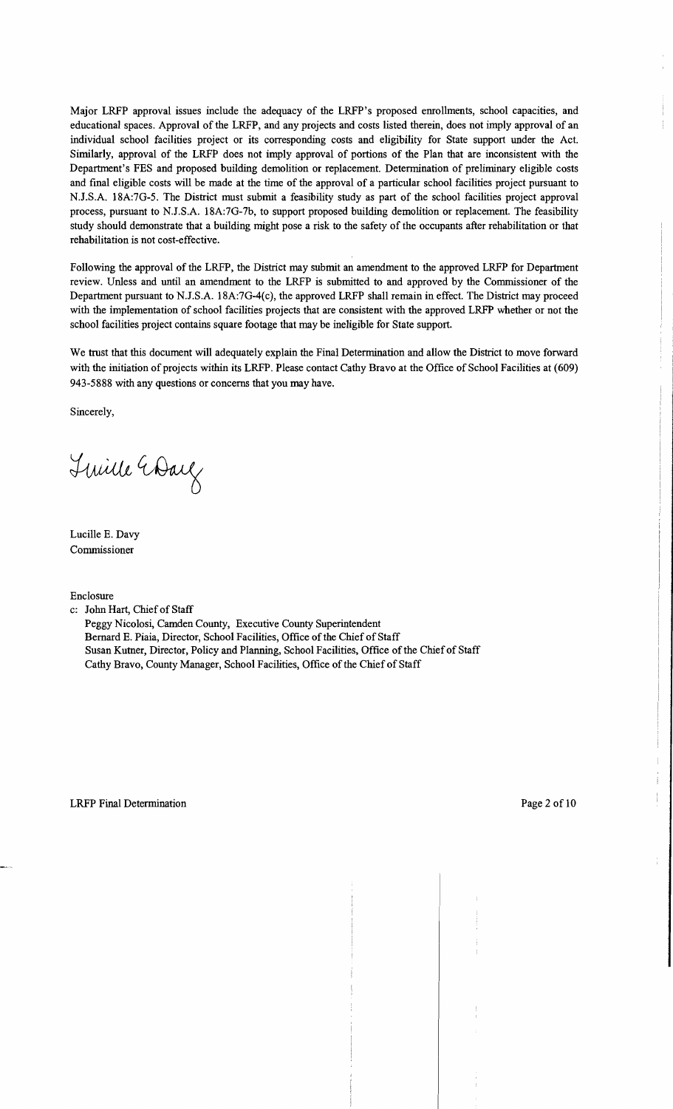Major LRFP approval issues include the adequacy of the LRFP's proposed emollments, school capacities, and educational spaces. Approval of the LRFP, and any projects and costs listed therein, does not imply approval of an individual school facilities project or its corresponding costs and eligibility for State support under the Act. Similarly, approval of the LRFP does not imply approval of portions of the Plan that are inconsistent with the Department's FES and proposed building demolition or replacement. Determination of preliminary eligible costs and final eligible costs will be made at the time of the approval of a particular school facilities project pursuant to N.J.S.A. 18A:7G-5. The District must submit a feasibility study as part of the school facilities project approval process, pursuant to NJ.S.A. 18A:7G-7b, to support proposed building demolition or replacement. The feasibility study should demonstrate that a building might pose a risk to the safety of the occupants after rehabilitation or that rehabilitation is not cost-effective.

Following the approval of the LRFP, the District may submit an amendment to the approved LRFP for Department review. Unless and until an amendment to the LRFP is submitted to and approved by the Commissioner of the Department pursuant to N.J.S.A. 18A:7G-4(c), the approved LRFP shall remain in effect. The District may proceed with the implementation of school facilities projects that are consistent with the approved LRFP whether or not the school facilities project contains square footage that may be ineligible for State support.

We trust that this document will adequately explain the Final Determination and allow the District to move forward with the initiation of projects within its LRFP. Please contact Cathy Bravo at the Office of School Facilities at (609) 943-5888 with any questions or concerns that you may have.

Sincerely,

Tuille Wall

Lucille E. Davy Commissioner

Enclosure

c: John Hart, Chief of Staff

Peggy Nicolosi, Camden County, Executive County Superintendent Bernard E. Piaia, Director, School Facilities, Office of the Chief of Staff Susan Kutner, Director, Policy and Planning, School Facilities, Office of the Chief of Staff Cathy Bravo, County Manager, School Facilities, Office of the Chief of Staff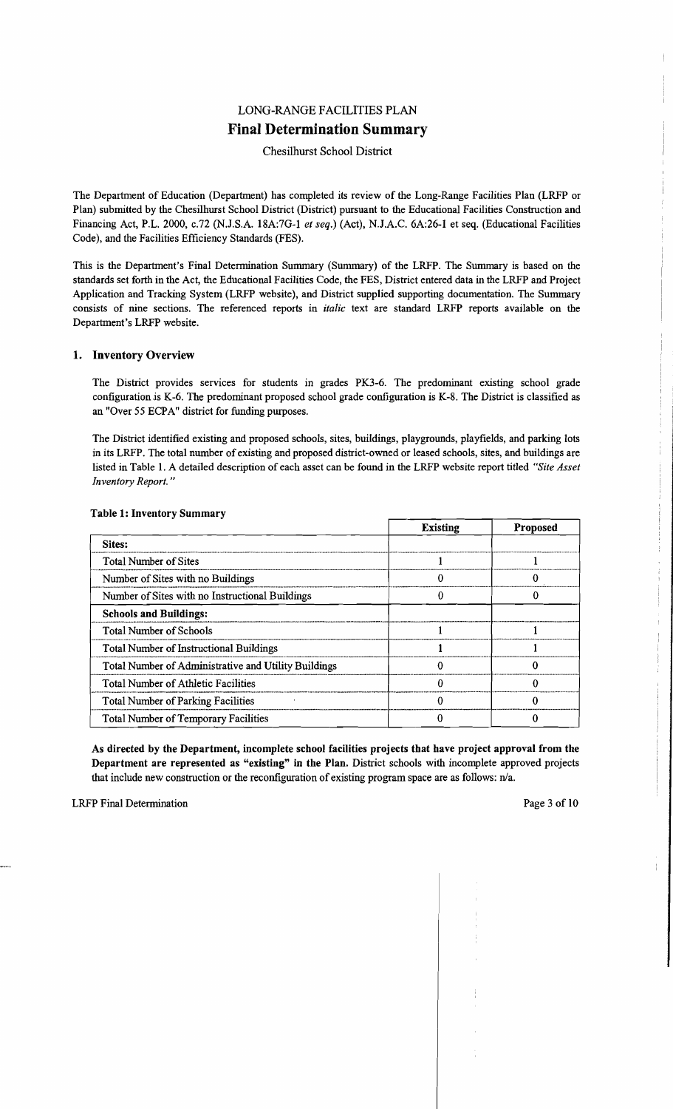# LONG-RANGE FACILITIES PLAN **Final Determination Summary**

# Chesilhurst School District

The Department of Education (Department) has completed its review of the Long-Range Facilities Plan (LRFP or Plan) submitted by the Chesilhurst School District (District) pursuant to the Educational Facilities Construction and Financing Act, P.L. 2000, *c.n* (N.J.S.A. l8A:7G-l *et seq.)* (Act), N.J.A.C. 6A:26-l et seq. (Educational Facilities Code), and the Facilities Efficiency Standards (FES).

This is the Department's Final Determination Sununary (Sununary) of the LRFP. The Summary is based on the standards set forth in the Act, the Educational Facilities Code, the FES, District entered data in the LRFP and Project Application and Tracking System (LRFP website), and District supplied supporting documentation. The Sununary consists of nine sections. The referenced reports in *italic* text are standard LRFP reports available on the Department's LRFP website.

## 1. Inventory Overview

The District provides services for students in grades PK3-6. The predominant existing school grade configuration is K-6. The predominant proposed school grade configuration is K-8. The District is classified as an "Over 55 ECPA" district for funding purposes.

The District identified existing and proposed schools, sites, buildings, playgrounds, playfields, and parking lots in its LRFP. The total number of existing and proposed district-owned or leased schools, sites, and buildings are listed in Table 1. A detailed description of each asset can be found in the LRFP website report titled *"Site Asset Inventory Report. "* 

|                                                      | <b>Existing</b> | <b>Proposed</b> |
|------------------------------------------------------|-----------------|-----------------|
| Sites:                                               |                 |                 |
| <b>Total Number of Sites</b>                         |                 |                 |
| Number of Sites with no Buildings                    |                 |                 |
| Number of Sites with no Instructional Buildings      |                 |                 |
| <b>Schools and Buildings:</b>                        |                 |                 |
| <b>Total Number of Schools</b>                       |                 |                 |
| <b>Total Number of Instructional Buildings</b>       |                 |                 |
| Total Number of Administrative and Utility Buildings |                 |                 |
| <b>Total Number of Athletic Facilities</b>           |                 |                 |
| <b>Total Number of Parking Facilities</b>            |                 |                 |
| <b>Total Number of Temporary Facilities</b>          |                 |                 |

#### Table 1: Inventory Summary

As directed by the Department, incomplete school facilities projects that have project approval from the Department are represented as "existing" in the Plan. District schools with incomplete approved projects that include new construction or the reconfiguration of existing program space are as follows:  $n/a$ .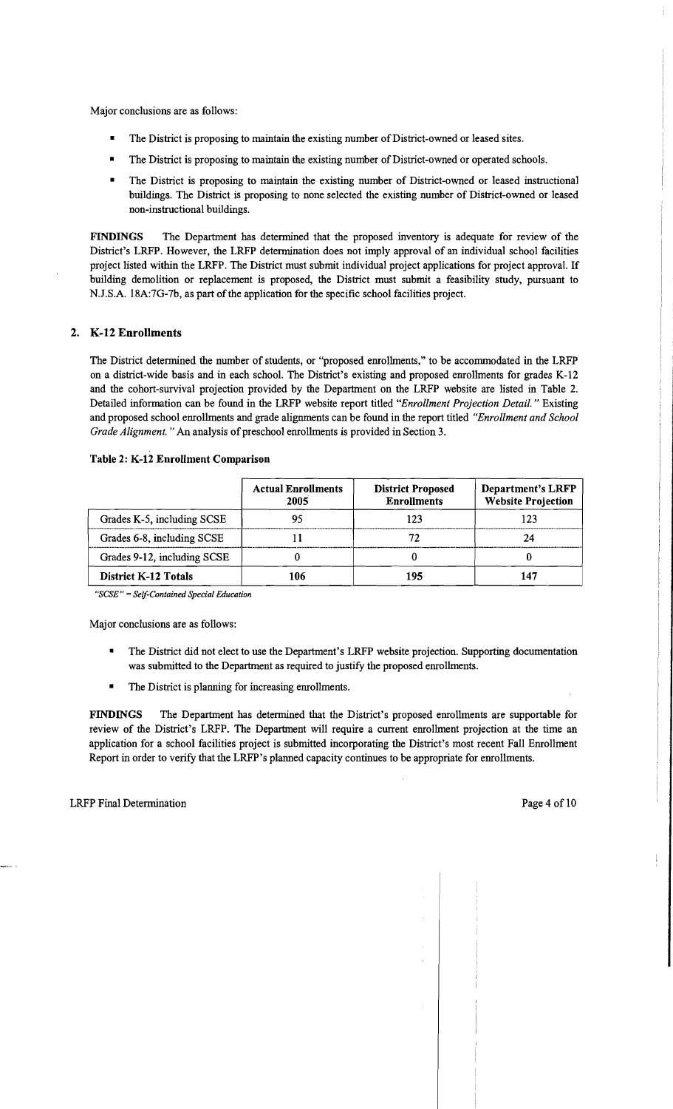Major conclusions are as follows:

- The District is proposing to maintain the existing number of District-owned or leased sites.
- The District is proposing to maintain the existing number of District-owned or operated schools.
- The District is proposing to maintain the existing number of District-owned or leased instructional buildings. The District is proposing to none selected the existing number of District-owned or leased non-instructional buildings.

FINDINGS The Department has determined that the proposed inventory is adequate for review of the District's LRFP. However, the LRFP determination does not imply approval of an individual school facilities project listed within the LRFP. The District must submit individual project applications for project approval. If building demolition or replacement is proposed, the District must submit a feasibility study, pursuant to N.J.S.A. 18A:7G-7b, as part of the application for the specific school facilities project.

# 2. K-12 Enrollments

The District determined the number of students, or "proposed enrollments," to be accommodated in the LRFP on a district-wide basis and in each schooL The District's existing and proposed enrollments for grades K-12 and the cohort-survival projection provided by the Department on the LRFP website are listed in Table 2. Detailed information can be found in the LRFP website report titled *"Enrollment Projection Detail.* " Existing and proposed school enrollments and grade alignments can be found in the report titled *"Enrollment and School Grade Alignment.* " An analysis of preschool enrollments is provided in Section 3.

|                             | <b>Actual Enrollments</b><br>2005 | <b>District Proposed</b><br><b>Enrollments</b> | <b>Department's LRFP</b><br><b>Website Projection</b> |
|-----------------------------|-----------------------------------|------------------------------------------------|-------------------------------------------------------|
| Grades K-5, including SCSE  |                                   |                                                | 123                                                   |
| Grades 6-8, including SCSE  |                                   |                                                |                                                       |
| Grades 9-12, including SCSE |                                   |                                                |                                                       |
| <b>District K-12 Totals</b> | 106                               | 105                                            |                                                       |

#### Table 2: K-12 Enrollment Comparison

*"SCSE"* = *Self-Contained Special Education* 

Major conclusions are as follows:

- The District did not elect to use the Department's LRFP website projection. Supporting documentation was submitted to the Department as required to justify the proposed enrollments.
- The District is planning for increasing enrollments.

FINDINGS The Department has determined that the District's proposed enrollments are supportable for review of the District's LRFP. The Department will require a current enrollment projection at the time an application for a school facilities project is submitted incorporating the District's most recent Fall Enrollment Report in order to verify that the LRFP's planned capacity continues to be appropriate for enrollments.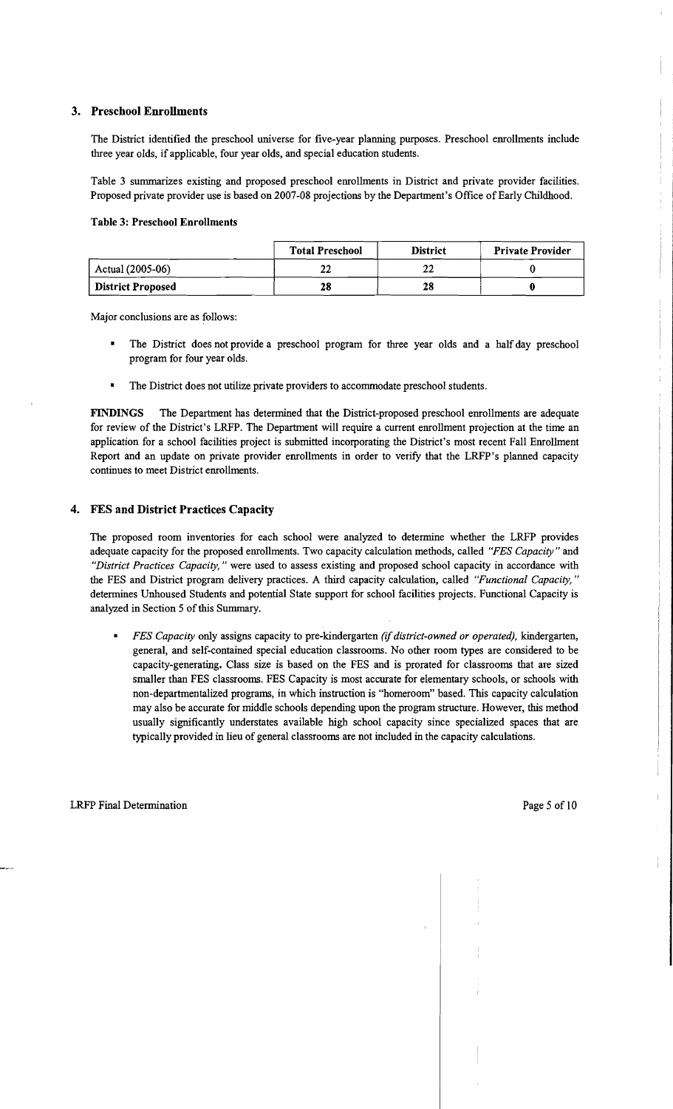## 3. Preschool Enrollments

The District identified the preschool universe for five-year planning purposes. Preschool emollments include three year olds, if applicable, four year olds, and special education students.

Table 3 summarizes existing and proposed preschool emollments in District and private provider facilities. Proposed private provider use is based on 2007-08 projections by the Department's Office of Early Childhood.

#### Table 3: Preschool Enrollments

|                          | <b>Total Preschool</b> | <b>District</b> | <b>Private Provider</b> |
|--------------------------|------------------------|-----------------|-------------------------|
| Actual (2005-06)         |                        |                 |                         |
| <b>District Proposed</b> | 28                     | 28              |                         |

Major conclusions are as follows:

- The District does not provide a preschool program for three year olds and a half day preschool program for four year olds.
- The District does not utilize private providers to accommodate preschool students.

FINDINGS The Department has determined that the District-proposed preschool emollments are adequate for review of the District's LRFP. The Department will require a current emollment projection at the time an application for a school facilities project is submitted incorporating the District's most recent Fall Emollment Report and an update on private provider emollments in order to verify that the LRFP's planned capacity continues to meet District emollments.

## 4. FES and District Practices Capacity

The proposed room inventories for each school were analyzed to determine whether the LRFP provides adequate capacity for the proposed emollments. Two capacity calculation methods, called *"FES Capacity"* and *"District Practices Capacity,"* were used to assess existing and proposed school capacity in accordance with the FES and District program delivery practices. A third capacity calculation, called *"Functional Capacity, "*  determines Unhoused Students and potential State support for school facilities projects. Functional Capacity is analyzed in Section 5 of this Summary.

*• FES Capacity* only assigns capacity to pre-kindergarten *(if district-owned or operated),* kindergarten, general, and self-contained special education classrooms. No other room types are considered to be capacity-generating. Class size is based on the FES and is prorated for classrooms that are sized smaller than FES classrooms. FES Capacity is most accurate for elementary schools, or schools with non-departmentalized programs, in which instruction is "homeroom" based. This capacity calculation may also be accurate for middle schools depending upon the program structure. However, this method usually significantly understates available high school capacity since specialized spaces that are typically provided in lieu of general classrooms are not included in the capacity calculations.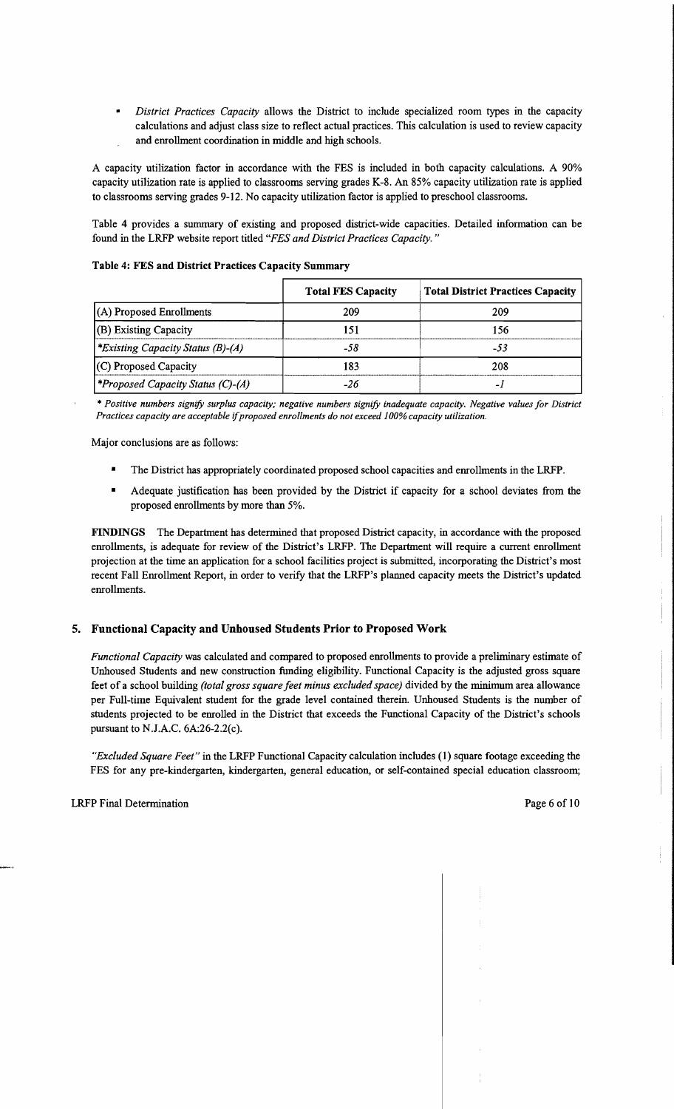*District Practices Capacity allows the District to include specialized room types in the capacity* calculations and adjust class size to reflect actual practices. This calculation is used to review capacity and enrollment coordination in middle and high schools.

A capacity utilization factor in accordance with the FES is included in both capacity calculations. A 90% capacity utilization rate is applied to classrooms serving grades K-8. An 85% capacity utilization rate is applied to classrooms serving grades 9-12. No capacity utilization factor is applied to preschool classrooms.

Table 4 provides a summary of existing and proposed district-wide capacities. Detailed information can be found in the LRFP website report titled *"FES and District Practices Capacity. "* 

|                                          | <b>Total FES Capacity</b> | <b>Total District Practices Capacity</b> |
|------------------------------------------|---------------------------|------------------------------------------|
| $(A)$ Proposed Enrollments               | 209                       | 209                                      |
| (B) Existing Capacity                    | 51                        | 156                                      |
| <i>*Existing Capacity Status (B)-(A)</i> | -58                       | -53                                      |
| (C) Proposed Capacity                    | 183                       | 208                                      |
| <i>*Proposed Capacity Status (C)-(A)</i> | -26                       | -                                        |

#### Table 4: FES and District Practices Capacity Summary

'" *Positive numbers signify surplus capacity; negative numbers signify inadequate capacity. Negative values for District Practices capacity are acceptable* if*proposed enrollments do not exceed* 1*00% capacity utilization.* 

Major conclusions are as follows:

- The District has appropriately coordinated proposed school capacities and enrollments in the LRFP.
- Adequate justification has been provided by the District if capacity for a school deviates from the proposed enrollments by more than 5%.

FINDINGS The Department has determined that proposed District capacity, in accordance with the proposed enrollments, is adequate for review of the District's LRFP. The Department will require a current enrollment projection at the time an application for a school facilities project is submitted, incorporating the District's most recent Fall Enrollment Report, in order to verify that the LRFP's planned capacity meets the District's updated enrollments.

## 5. Functional Capacity and Unhoused Students Prior to Proposed Work

*Functional Capacity* was calculated and compared to proposed enrollments to provide a preliminary estimate of Unhoused Students and new construction funding eligibility. Functional Capacity is the adjusted gross square feet of a school building *(total gross square feet minus excluded space)* divided by the minimum area allowance per Full-time Equivalent student for the grade level contained therein. Unhoused Students is the number of students projected to be enrolled in the District that exceeds the Functional Capacity of the District's schools pursuant to NJ.A.C. 6A:26-2.2(c).

*"Excluded Square Feet"* in the LRFP Functional Capacity calculation includes (I) square footage exceeding the FES for any pre-kindergarten, kindergarten, general education, or self-contained special education classroom;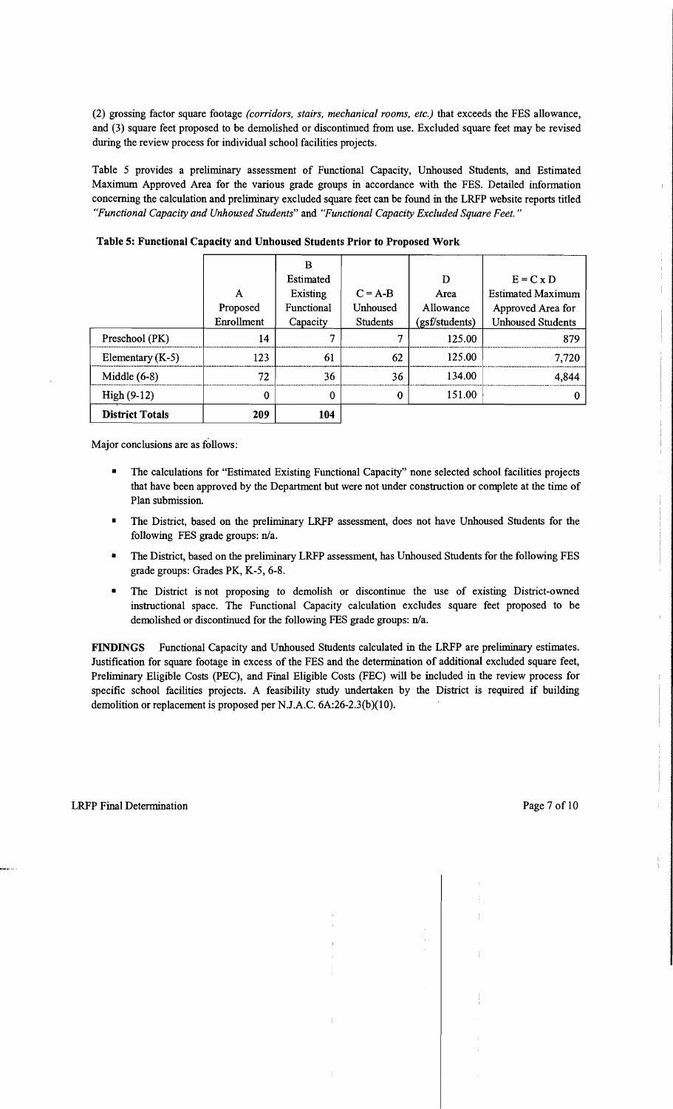(2) grossing factor square footage *(corridors, stairs, mechanical rooms, etc.)* that exceeds the FES allowance, and (3) square feet proposed to be demolished or discontinued from use. Excluded square feet may be revised during the review process for individual school facilities projects.

Table 5 provides a preliminary assessment of Functional Capacity, Unhoused Students, and Estimated Maximum Approved Area for the various grade groups in accordance with the FES. Detailed information concerning the calculation and preliminary excluded square feet can be found in the LRFP website reports titled *"Functional Capacity and Unhoused Students"* and *"Functional Capacity Excluded Square Feet."* 

|                        |               | в<br>Estimated         |                       | D                 | $E = C \times D$                              |
|------------------------|---------------|------------------------|-----------------------|-------------------|-----------------------------------------------|
|                        | A<br>Proposed | Existing<br>Functional | $C = A-B$<br>Unhoused | Area<br>Allowance | <b>Estimated Maximum</b><br>Approved Area for |
|                        | Enrollment    | Capacity               | Students              | (gsf/students)    | <b>Unhoused Students</b>                      |
| Preschool (PK)         | 14            | σ                      | 7                     | 125.00            | 879                                           |
| Elementary $(K-5)$     | 123           | 61                     | 62                    | 125.00            | 7,720                                         |
| Middle $(6-8)$         | 72            | 36                     | 36                    | 134.00            | 4,844                                         |
| $High(9-12)$           | 0             | 0                      | 0                     | 151.00            |                                               |
| <b>District Totals</b> | 209           | 104                    |                       |                   |                                               |

Table 5: Functional Capacity and Unhoused Students Prior to Proposed Work

Major conclusions are as follows:

- The calculations for "Estimated Existing Functional Capacity" none selected school facilities projects that have been approved by the Department but were not under construction or complete at the time of Plan submission.
- The District, based on the preliminary LRFP assessment, does not have Unhoused Students for the following FES grade groups: n/a.
- The District, based on the preliminary LRFP assessment, has Unhoused Students for the following FES grade groups: Grades PK, K-5, 6-8.
- The District is not proposing to demolish or discontinue the use of existing District-owned instructional space. The Functional Capacity calculation excludes square feet proposed to be demolished or discontinued for the following FES grade groups: n/a.

FINDINGS Functional Capacity and Unhoused Students calculated in the LRFP are preliminary estimates. Justification for square footage in excess of the FES and the determination of additional excluded square feet, Preliminary Eligible Costs (PEC), and Final Eligible Costs (FEC) will be included in the review process for specific school facilities projects. A feasibility study undertaken by the District is required if building demolition or replacement is proposed per N.J.A.C. 6A:26-2.3(b)(10).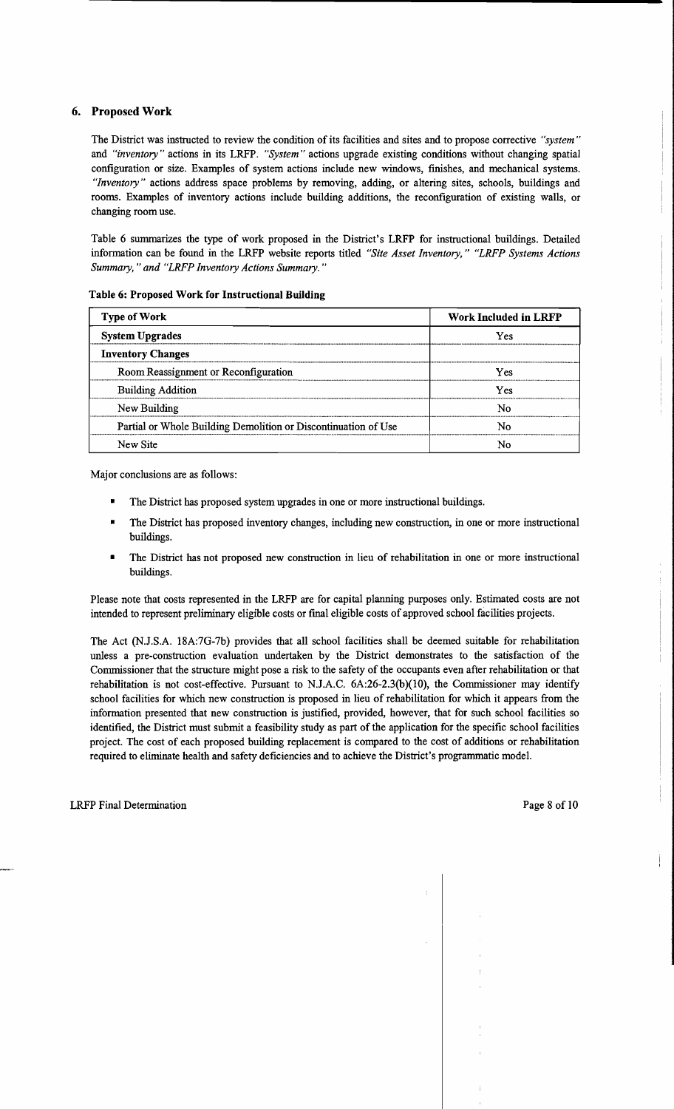# 6. Proposed Work

The District was instructed to review the condition of its facilities and sites and to propose corrective *"system"*  and *"inventory"* actions in its LRFP. *"System"* actions upgrade existing conditions without changing spatial configuration or size. Examples of system actions include new windows, ftnishes, and mechanical systems. *"Inventory"* actions address space problems by removing, adding, or altering sites, schools, buildings and rooms. Examples of inventory actions include building additions, the reconfiguration of existing walls, or changing room use.

Table 6 sunnnarizes the type of work proposed in the District's LRFP for instructional buildings. Detailed information can be found in the LRFP website reports titled *"Site Asset Inventory," "LRFP Systems Actions Summary,* " *and "LRFP Inventory Actions Summary. "* 

| <b>Type of Work</b>                                            | Work Included in LRFP |
|----------------------------------------------------------------|-----------------------|
| <b>System Upgrades</b>                                         | Yes                   |
| <b>Inventory Changes</b>                                       |                       |
| Room Reassignment or Reconfiguration                           | Yes                   |
| <b>Building Addition</b>                                       | Yes                   |
| New Building                                                   | N٥                    |
| Partial or Whole Building Demolition or Discontinuation of Use | Nο                    |
| New Site                                                       | N٥                    |

Table 6: Proposed Work for Instructional Building

Major conclusions are as follows:

- The District has proposed system upgrades in one or more instructional buildings.
- The District has proposed inventory changes, including new construction, in one or more instructional buildings.
- The District has not proposed new construction in lieu of rehabilitation in one or more instructional buildings.

Please note that costs represented in the LRFP are for capital planning purposes only. Estimated costs are not intended to represent preliminary eligible costs or fInal eligible costs of approved school facilities projects.

The Act (NJ.S.A. 18A:7G-7b) provides that all school facilities shall be deemed suitable for rehabilitation unless a pre-construction evaluation undertaken by the District demonstrates to the satisfaction of the Conunissioner that the structure might pose a risk to the safety of the occupants even after rehabilitation or that rehabilitation is not cost-effective. Pursuant to N.J.A.C.  $6A:26-2.3(b)(10)$ , the Commissioner may identify school facilities for which new construction is proposed in lieu of rehabilitation for which it appears from the information presented that new construction is justifted, provided, however, that for such school facilities so identified, the District must submit a feasibility study as part of the application for the specific school facilities project. The cost of each proposed building replacement is compared to the cost of additions or rehabilitation required to eliminate health and safety deftciencies and to achieve the District's progrannnatic model.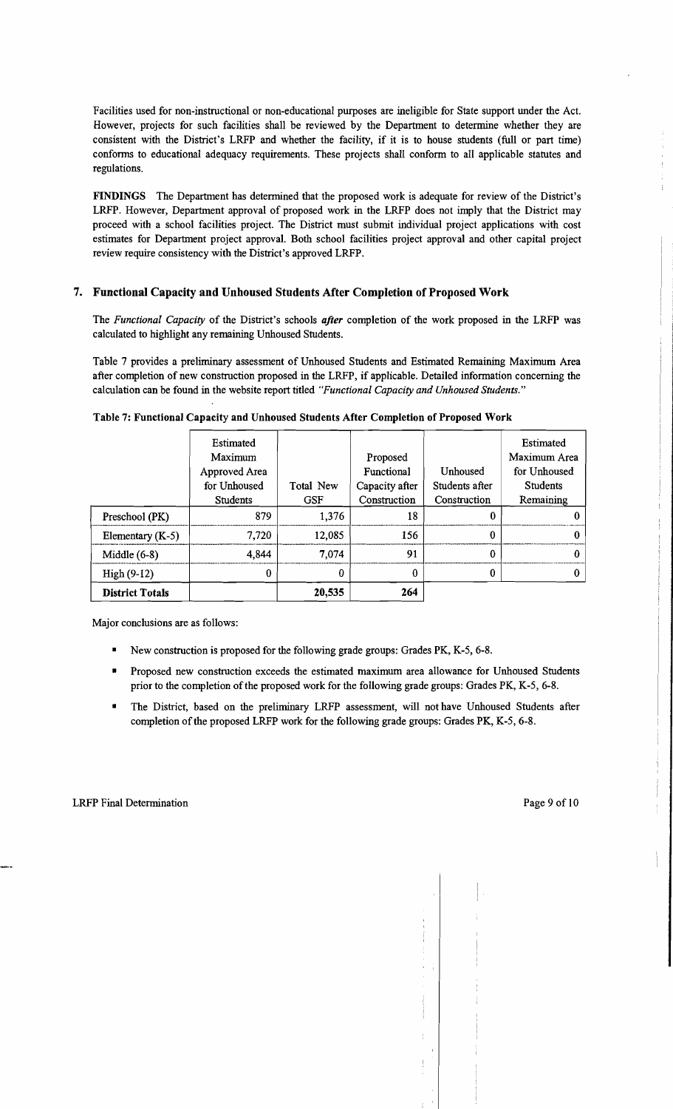Facilities used for non-instructional or non-educational purposes are ineligible for State support under the Act. However, projects for such facilities shall be reviewed by the Department to determine whether they are consistent with the District's LRFP and whether the facility, if it is to house students (full or part time) conforms to educational adequacy requirements. These projects shall conform to all applicable statutes and regulations.

FINDINGS The Department has determined that the proposed work is adequate for review of the District's LRFP. However, Department approval of proposed work in the LRFP does not imply that the District may proceed with a school facilities project. The District must submit individual project applications with cost estimates for Department project approval. Both school facilities project approval and other capital project review require consistency with the District's approved LRFP.

# 7. Functional Capacity and Unhoused Students After Completion of Proposed Work

The *Functional Capacity* of the District's schools *after* completion of the work proposed in the LRFP was calculated to highlight any remaining Unhoused Students.

Table 7 provides a preliminary assessment of Unhoused Students and Estimated Remaining Maximum Area after completion of new construction proposed in the LRFP, if applicable. Detailed information concerning the calculation can be found in the website report titled *"Functional Capacity and Unhoused Students."* 

|                        | <b>Estimated</b> |            |                |                | Estimated       |
|------------------------|------------------|------------|----------------|----------------|-----------------|
|                        | Maximum          |            | Proposed       |                | Maximum Area    |
|                        | Approved Area    |            | Functional     | Unhoused       | for Unhoused    |
|                        | for Unhoused     | Total New  | Capacity after | Students after | <b>Students</b> |
|                        | <b>Students</b>  | <b>GSF</b> | Construction   | Construction   | Remaining       |
| Preschool (PK)         | 879              | 1,376      | 18             | 0              |                 |
| Elementary $(K-5)$     | 7,720            | 12,085     | 156            | 0              |                 |
| Middle $(6-8)$         | 4,844            | 7,074      | 91             | $\Omega$       | O               |
| $High(9-12)$           | 0                |            | 0              | 0              |                 |
| <b>District Totals</b> |                  | 20,535     | 264            |                |                 |

Table 7: Functional Capacity and Unhoused Students After Completion of Proposed Work

Major conclusions are as follows:

- New construction is proposed for the following grade groups: Grades PK, K-5, 6-8.
- Proposed new construction exceeds the estimated maximum area allowance for Unhoused Students prior to the completion ofthe proposed work for the following grade groups: Grades PK, K-5, 6-8.
- The District, based on the preliminary LRFP assessment, will not have Unhoused Students after completion of the proposed LRFP work for the following grade groups: Grades PK, K-5, 6-8.